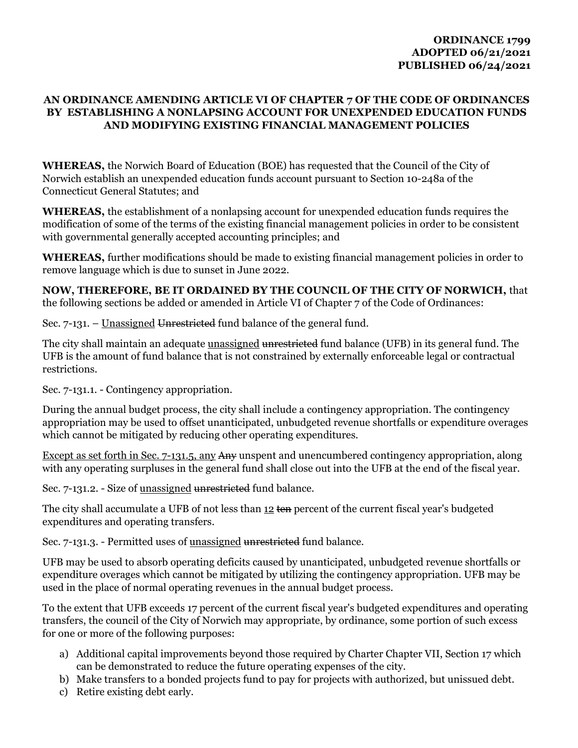## **AN ORDINANCE AMENDING ARTICLE VI OF CHAPTER 7 OF THE CODE OF ORDINANCES BY ESTABLISHING A NONLAPSING ACCOUNT FOR UNEXPENDED EDUCATION FUNDS AND MODIFYING EXISTING FINANCIAL MANAGEMENT POLICIES**

**WHEREAS,** the Norwich Board of Education (BOE) has requested that the Council of the City of Norwich establish an unexpended education funds account pursuant to Section 10-248a of the Connecticut General Statutes; and

**WHEREAS,** the establishment of a nonlapsing account for unexpended education funds requires the modification of some of the terms of the existing financial management policies in order to be consistent with governmental generally accepted accounting principles; and

**WHEREAS,** further modifications should be made to existing financial management policies in order to remove language which is due to sunset in June 2022.

**NOW, THEREFORE, BE IT ORDAINED BY THE COUNCIL OF THE CITY OF NORWICH,** that the following sections be added or amended in Article VI of Chapter 7 of the Code of Ordinances:

Sec. 7-131. – Unassigned Unrestricted fund balance of the general fund.

The city shall maintain an adequate unassigned unrestricted fund balance (UFB) in its general fund. The UFB is the amount of fund balance that is not constrained by externally enforceable legal or contractual restrictions.

Sec. 7-131.1. - Contingency appropriation.

During the annual budget process, the city shall include a contingency appropriation. The contingency appropriation may be used to offset unanticipated, unbudgeted revenue shortfalls or expenditure overages which cannot be mitigated by reducing other operating expenditures.

Except as set forth in Sec. 7-131.5, any Any unspent and unencumbered contingency appropriation, along with any operating surpluses in the general fund shall close out into the UFB at the end of the fiscal year.

Sec. 7-131.2. - Size of unassigned unrestricted fund balance.

The city shall accumulate a UFB of not less than 12 ten percent of the current fiscal year's budgeted expenditures and operating transfers.

Sec. 7-131.3. - Permitted uses of unassigned unrestricted fund balance.

UFB may be used to absorb operating deficits caused by unanticipated, unbudgeted revenue shortfalls or expenditure overages which cannot be mitigated by utilizing the contingency appropriation. UFB may be used in the place of normal operating revenues in the annual budget process.

To the extent that UFB exceeds 17 percent of the current fiscal year's budgeted expenditures and operating transfers, the council of the City of Norwich may appropriate, by ordinance, some portion of such excess for one or more of the following purposes:

- a) Additional capital improvements beyond those required by Charter Chapter VII, Section 17 which can be demonstrated to reduce the future operating expenses of the city.
- b) Make transfers to a bonded projects fund to pay for projects with authorized, but unissued debt.
- c) Retire existing debt early.